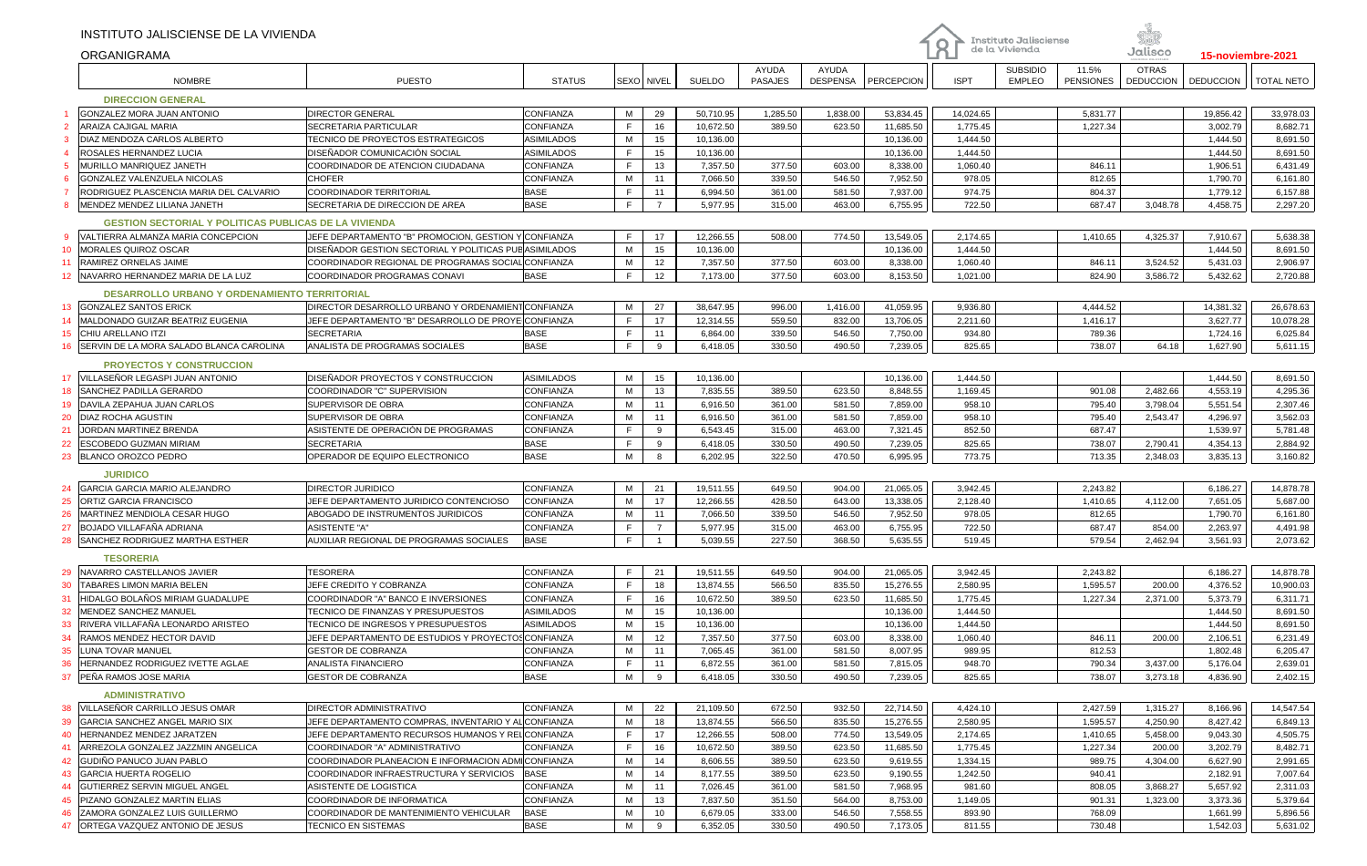|    | INSTITUTO JALISCIENSE DE LA VIVIENDA                         |                                                                     |                   |            |                |           |                |          |            |             | Instituto Jalisciense |                  |                  |                  |                   |
|----|--------------------------------------------------------------|---------------------------------------------------------------------|-------------------|------------|----------------|-----------|----------------|----------|------------|-------------|-----------------------|------------------|------------------|------------------|-------------------|
|    | <b>ORGANIGRAMA</b>                                           |                                                                     |                   |            |                |           |                |          |            | $\mathsf R$ | de la Vivienda        |                  | Jalisco          |                  | 15-noviembre-2021 |
|    |                                                              |                                                                     |                   |            |                |           | AYUDA          | AYUDA    |            |             | <b>SUBSIDIO</b>       | 11.5%            | <b>OTRAS</b>     |                  |                   |
|    | <b>NOMBRE</b>                                                | <b>PUESTO</b>                                                       | <b>STATUS</b>     | SEXO NIVEL |                | SUELDO    | <b>PASAJES</b> | DESPENSA | PERCEPCION | <b>ISPT</b> | <b>EMPLEO</b>         | <b>PENSIONES</b> | <b>DEDUCCION</b> | <b>DEDUCCION</b> | <b>TOTAL NETO</b> |
|    | <b>DIRECCION GENERAL</b>                                     |                                                                     |                   |            |                |           |                |          |            |             |                       |                  |                  |                  |                   |
|    | GONZALEZ MORA JUAN ANTONIO                                   | DIRECTOR GENERAL                                                    | CONFIANZA         | M          | 29             | 50,710.95 | 1,285.50       | 1,838.00 | 53,834.45  | 14,024.65   |                       | 5,831.77         |                  | 19,856.42        | 33,978.03         |
|    | <b>ARAIZA CAJIGAL MARIA</b>                                  | SECRETARIA PARTICULAR                                               | CONFIANZA         | F          | 16             | 10,672.50 | 389.50         | 623.50   | 11,685.50  | 1,775.45    |                       | 1,227.34         |                  | 3,002.79         | 8,682.71          |
|    | DIAZ MENDOZA CARLOS ALBERTO                                  | TECNICO DE PROYECTOS ESTRATEGICOS                                   | <b>ASIMILADOS</b> | M          | 15             | 10,136.00 |                |          | 10,136.00  | 1,444.50    |                       |                  |                  | 1,444.50         | 8,691.50          |
|    | ROSALES HERNANDEZ LUCIA                                      | DISEÑADOR COMUNICACIÓN SOCIAL                                       | <b>ASIMILADOS</b> | F.         | 15             | 10,136.00 |                |          | 10,136.00  | 1,444.50    |                       |                  |                  | 1,444.50         | 8,691.50          |
|    | MURILLO MANRIQUEZ JANETH                                     | COORDINADOR DE ATENCION CIUDADANA                                   | CONFIANZA         | F.         | 13             | 7,357.50  | 377.50         | 603.00   | 8,338.00   | 1,060.40    |                       | 846.11           |                  | 1,906.51         | 6,431.49          |
| -6 | GONZALEZ VALENZUELA NICOLAS                                  | CHOFER                                                              | CONFIANZA         | M          | 11             | 7,066.50  | 339.50         | 546.50   | 7,952.50   | 978.05      |                       | 812.65           |                  | 1,790.70         | 6,161.80          |
|    | RODRIGUEZ PLASCENCIA MARIA DEL CALVARIO                      | COORDINADOR TERRITORIAL                                             | <b>BASE</b>       | F          | 11             | 6,994.50  | 361.00         | 581.50   | 7,937.00   | 974.75      |                       | 804.37           |                  | 1,779.12         | 6,157.88          |
|    | MENDEZ MENDEZ LILIANA JANETH                                 | SECRETARIA DE DIRECCION DE AREA                                     | <b>BASE</b>       | F          | $\overline{7}$ | 5,977.95  | 315.00         | 463.00   | 6,755.95   | 722.50      |                       | 687.47           | 3,048.78         | 4,458.75         | 2,297.20          |
|    | <b>GESTION SECTORIAL Y POLITICAS PUBLICAS DE LA VIVIENDA</b> |                                                                     |                   |            |                |           |                |          |            |             |                       |                  |                  |                  |                   |
| 9  | VALTIERRA ALMANZA MARIA CONCEPCION                           | JEFE DEPARTAMENTO "B" PROMOCION, GESTION                            | CONFIANZA         | F          | 17             | 12,266.55 | 508.00         | 774.50   | 13,549.05  | 2,174.65    |                       | 1,410.65         | 4,325.37         | 7,910.67         | 5,638.38          |
|    | <b>MORALES QUIROZ OSCAR</b>                                  | DISEÑADOR GESTION SECTORIAL Y POLITICAS PUB <sup>I</sup> ASIMILADOS |                   | M          | 15             | 10,136.00 |                |          | 10,136.00  | 1,444.50    |                       |                  |                  | 1,444.50         | 8,691.50          |
|    | <b>RAMIREZ ORNELAS JAIME</b>                                 | COORDINADOR REGIONAL DE PROGRAMAS SOCIAL                            | CONFIANZA         | M          | 12             | 7,357.50  | 377.50         | 603.00   | 8,338.00   | 1,060.40    |                       | 846.11           | 3,524.52         | 5,431.03         | 2,906.97          |
| 12 | NAVARRO HERNANDEZ MARIA DE LA LUZ                            | COORDINADOR PROGRAMAS CONAVI                                        | <b>BASE</b>       | F          | 12             | 7,173.00  | 377.50         | 603.00   | 8,153.50   | 1,021.00    |                       | 824.90           | 3,586.72         | 5,432.62         | 2,720.88          |
|    | <b>DESARROLLO URBANO Y ORDENAMIENTO TERRITORIAL</b>          |                                                                     |                   |            |                |           |                |          |            |             |                       |                  |                  |                  |                   |
|    | 13 GONZALEZ SANTOS ERICK                                     | DIRECTOR DESARROLLO URBANO Y ORDENAMIENT CONFIANZA                  |                   | M          | 27             | 38,647.95 | 996.00         | 1,416.00 | 41,059.95  | 9,936.80    |                       | 4.444.52         |                  | 14,381.32        | 26,678.63         |
| 14 | MALDONADO GUIZAR BEATRIZ EUGENIA                             | JEFE DEPARTAMENTO "B" DESARROLLO DE PROYE CONFIANZA                 |                   | F          | 17             | 12,314.55 | 559.50         | 832.00   | 13,706.05  | 2,211.60    |                       | 1,416.17         |                  | 3,627.77         | 10,078.28         |
| 15 | <b>CHIU ARELLANO ITZI</b>                                    | <b>SECRETARIA</b>                                                   | <b>BASE</b>       | F.         | 11             | 6,864.00  | 339.50         | 546.50   | 7,750.00   | 934.80      |                       | 789.36           |                  | 1,724.16         | 6,025.84          |
| 16 | SERVIN DE LA MORA SALADO BLANCA CAROLINA                     | ANALISTA DE PROGRAMAS SOCIALES                                      | <b>BASE</b>       | F          | 9              | 6,418.05  | 330.50         | 490.50   | 7,239.05   | 825.65      |                       | 738.07           | 64.18            | 1,627.90         | 5,611.15          |
|    |                                                              |                                                                     |                   |            |                |           |                |          |            |             |                       |                  |                  |                  |                   |
|    | <b>PROYECTOS Y CONSTRUCCION</b>                              |                                                                     |                   |            |                |           |                |          |            |             |                       |                  |                  |                  |                   |
|    | 17 VILLASEÑOR LEGASPI JUAN ANTONIO                           | DISEÑADOR PROYECTOS Y CONSTRUCCION                                  | <b>ASIMILADOS</b> | M          | 15             | 10,136.00 |                |          | 10,136.00  | 1,444.50    |                       |                  |                  | 1,444.50         | 8,691.50          |
| 18 | SANCHEZ PADILLA GERARDO                                      | COORDINADOR "C" SUPERVISION                                         | CONFIANZA         | M          | 13             | 7,835.55  | 389.50         | 623.50   | 8,848.55   | 1,169.45    |                       | 901.08           | 2,482.66         | 4,553.19         | 4,295.36          |
| 19 | DAVILA ZEPAHUA JUAN CARLOS                                   | SUPERVISOR DE OBRA                                                  | CONFIANZA         | M          | 11             | 6,916.50  | 361.00         | 581.50   | 7,859.00   | 958.10      |                       | 795.40           | 3,798.04         | 5,551.54         | 2,307.46          |
| 20 | <b>DIAZ ROCHA AGUSTIN</b>                                    | SUPERVISOR DE OBRA                                                  | CONFIANZA         | M          | 11             | 6,916.50  | 361.00         | 581.50   | 7,859.00   | 958.10      |                       | 795.40           | 2,543.47         | 4,296.97         | 3,562.03          |
| 21 | JORDAN MARTINEZ BRENDA                                       | ASISTENTE DE OPERACIÓN DE PROGRAMAS                                 | <b>CONFIANZA</b>  | F          | 9              | 6,543.45  | 315.00         | 463.00   | 7,321.45   | 852.50      |                       | 687.47           |                  | 1,539.97         | 5,781.48          |
| 22 | ESCOBEDO GUZMAN MIRIAM                                       | <b>SECRETARIA</b>                                                   | <b>BASE</b>       | F          | 9              | 6,418.05  | 330.50         | 490.50   | 7,239.05   | 825.65      |                       | 738.07           | 2,790.41         | 4,354.13         | 2,884.92          |
| 23 | <b>BLANCO OROZCO PEDRO</b>                                   | OPERADOR DE EQUIPO ELECTRONICO                                      | <b>BASE</b>       | M          | 8              | 6,202.95  | 322.50         | 470.50   | 6,995.95   | 773.75      |                       | 713.35           | 2,348.03         | 3,835.13         | 3,160.82          |
|    | <b>JURIDICO</b>                                              |                                                                     |                   |            |                |           |                |          |            |             |                       |                  |                  |                  |                   |
| 24 | GARCIA GARCIA MARIO ALEJANDRO                                | <b>DIRECTOR JURIDICO</b>                                            | CONFIANZA         | M          | 21             | 19,511.55 | 649.50         | 904.00   | 21,065.05  | 3,942.45    |                       | 2,243.82         |                  | 6,186.27         | 14,878.78         |
| 25 | ORTIZ GARCIA FRANCISCO                                       | JEFE DEPARTAMENTO JURIDICO CONTENCIOSO                              | CONFIANZA         | M          | 17             | 12,266.55 | 428.50         | 643.00   | 13,338.05  | 2,128.40    |                       | 1,410.65         | 4,112.00         | 7,651.05         | 5,687.00          |
| 26 | MARTINEZ MENDIOLA CESAR HUGO                                 | ABOGADO DE INSTRUMENTOS JURIDICOS                                   | CONFIANZA         | М          | 11             | 7,066.50  | 339.50         | 546.50   | 7,952.50   | 978.05      |                       | 812.65           |                  | 1,790.70         | 6,161.80          |
| 27 | <b>BOJADO VILLAFAÑA ADRIANA</b>                              | ASISTENTE "A"                                                       | CONFIANZA         | F          | $\overline{7}$ | 5,977.95  | 315.00         | 463.00   | 6,755.95   | 722.50      |                       | 687.47           | 854.00           | 2,263.97         | 4,491.98          |
| 28 | SANCHEZ RODRIGUEZ MARTHA ESTHER                              | AUXILIAR REGIONAL DE PROGRAMAS SOCIALES                             | <b>BASE</b>       | F          | $\mathbf{1}$   | 5,039.55  | 227.50         | 368.50   | 5,635.55   | 519.45      |                       | 579.54           | 2,462.94         | 3,561.93         | 2,073.62          |
|    | <b>TESORERIA</b>                                             |                                                                     |                   |            |                |           |                |          |            |             |                       |                  |                  |                  |                   |
|    | 29 NAVARRO CASTELLANOS JAVIER                                | <b>TESORERA</b>                                                     | CONFIANZA         | F          | 21             | 19,511.55 | 649.50         | 904.00   | 21,065.05  | 3,942.45    |                       | 2,243.82         |                  | 6,186.27         | 14,878.78         |
| 30 | TABARES LIMON MARIA BELEN                                    | JEFE CREDITO Y COBRANZA                                             | CONFIANZA         | F          | 18             | 13,874.55 | 566.50         | 835.50   | 15,276.55  | 2,580.95    |                       | 1,595.57         | 200.00           | 4,376.52         | 10,900.03         |
|    | HIDALGO BOLAÑOS MIRIAM GUADALUPE                             | COORDINADOR "A" BANCO E INVERSIONES                                 | CONFIANZA         | F          | 16             | 10,672.50 | 389.50         | 623.50   | 11,685.50  | 1,775.45    |                       | 1,227.34         | 2,371.00         | 5,373.79         | 6,311.71          |
| 32 | MENDEZ SANCHEZ MANUEL                                        | TECNICO DE FINANZAS Y PRESUPUESTOS                                  | <b>ASIMILADOS</b> | M          | 15             | 10,136.00 |                |          | 10,136.00  | 1,444.50    |                       |                  |                  | 1,444.50         | 8,691.50          |
| 33 | RIVERA VILLAFAÑA LEONARDO ARISTEO                            | TECNICO DE INGRESOS Y PRESUPUESTOS                                  | <b>ASIMILADOS</b> | M          | 15             | 10,136.00 |                |          | 10,136.00  | 1,444.50    |                       |                  |                  | 1,444.50         | 8,691.50          |
| 34 | RAMOS MENDEZ HECTOR DAVID                                    | JEFE DEPARTAMENTO DE ESTUDIOS Y PROYECTOSCONFIANZA                  |                   | М          | 12             | 7,357.50  | 377.50         | 603.00   | 8,338.00   | 1,060.40    |                       | 846.11           | 200.00           | 2,106.51         | 6,231.49          |
| 35 | LUNA TOVAR MANUEL                                            | <b>GESTOR DE COBRANZA</b>                                           | CONFIANZA         | M          | 11             | 7,065.45  | 361.00         | 581.50   | 8,007.95   | 989.95      |                       | 812.53           |                  | 1,802.48         | 6,205.47          |
|    | 36   HERNANDEZ RODRIGUEZ IVETTE AGLAE                        | ANALISTA FINANCIERO                                                 | CONFIANZA         | F   11     |                | 6,872.55  | 361.00         | 581.50   | 7,815.05   | 948.70      |                       | 790.34           | 3,437.00         | 5,176.04         | 2,639.01          |
|    | 37 PEÑA RAMOS JOSE MARIA                                     | <b>GESTOR DE COBRANZA</b>                                           | <b>BASE</b>       | M          | 9              | 6,418.05  | 330.50         | 490.50   | 7,239.05   | 825.65      |                       | 738.07           | 3,273.18         | 4,836.90         | 2,402.15          |
|    | <b>ADMINISTRATIVO</b>                                        |                                                                     |                   |            |                |           |                |          |            |             |                       |                  |                  |                  |                   |
|    | 38 VILLASEÑOR CARRILLO JESUS OMAR                            | <b>DIRECTOR ADMINISTRATIVO</b>                                      | <b>CONFIANZA</b>  | M          | 22             | 21,109.50 | 672.50         | 932.50   | 22,714.50  | 4,424.10    |                       | 2,427.59         | 1,315.27         | 8,166.96         | 14,547.54         |
|    | 39 GARCIA SANCHEZ ANGEL MARIO SIX                            | JEFE DEPARTAMENTO COMPRAS, INVENTARIO Y AL∣CONFIANZA                |                   | M          | 18             | 13,874.55 | 566.50         | 835.50   | 15,276.55  | 2,580.95    |                       | 1,595.57         | 4,250.90         | 8,427.42         | 6,849.13          |
|    | 40 HERNANDEZ MENDEZ JARATZEN                                 | JEFE DEPARTAMENTO RECURSOS HUMANOS Y RELICONFIANZA                  |                   | F          | 17             | 12,266.55 | 508.00         | 774.50   | 13,549.05  | 2,174.65    |                       | 1,410.65         | 5,458.00         | 9,043.30         | 4,505.75          |
|    | 41 ARREZOLA GONZALEZ JAZZMIN ANGELICA                        | COORDINADOR "A" ADMINISTRATIVO                                      | CONFIANZA         | F.         | 16             | 10,672.50 | 389.50         | 623.50   | 11,685.50  | 1,775.45    |                       | 1,227.34         | 200.00           | 3,202.79         | 8,482.71          |
|    | 42 GUDIÑO PANUCO JUAN PABLO                                  | COORDINADOR PLANEACION E INFORMACION ADMICONFIANZA                  |                   | M          | 14             | 8,606.55  | 389.50         | 623.50   | 9,619.55   | 1,334.15    |                       | 989.75           | 4,304.00         | 6,627.90         | 2,991.65          |
|    | 43 GARCIA HUERTA ROGELIO                                     | COORDINADOR INFRAESTRUCTURA Y SERVICIOS                             | <b>BASE</b>       | M          | 14             | 8,177.55  | 389.50         | 623.50   | 9,190.55   | 1,242.50    |                       | 940.41           |                  | 2,182.91         | 7,007.64          |
|    | 44 GUTIERREZ SERVIN MIGUEL ANGEL                             | ASISTENTE DE LOGISTICA                                              | CONFIANZA         | M          | 11             | 7,026.45  | 361.00         | 581.50   | 7,968.95   | 981.60      |                       | 808.05           | 3,868.27         | 5,657.92         | 2,311.03          |
|    | 45 PIZANO GONZALEZ MARTIN ELIAS                              | COORDINADOR DE INFORMATICA                                          | <b>CONFIANZA</b>  | M          | 13             | 7,837.50  | 351.50         | 564.00   | 8,753.00   | 1,149.05    |                       | 901.31           | 1,323.00         | 3,373.36         | 5,379.64          |
|    | 46 ZAMORA GONZALEZ LUIS GUILLERMO                            | COORDINADOR DE MANTENIMIENTO VEHICULAR                              | <b>BASE</b>       | M          | 10             | 6,679.05  | 333.00         | 546.50   | 7,558.55   | 893.90      |                       | 768.09           |                  | 1,661.99         | 5,896.56          |
|    | 47 ORTEGA VAZQUEZ ANTONIO DE JESUS                           | TECNICO EN SISTEMAS                                                 | <b>BASE</b>       | M          | 9              | 6,352.05  | 330.50         | 490.50   | 7,173.05   | 811.55      |                       | 730.48           |                  | 1,542.03         | 5,631.02          |

n<br>S